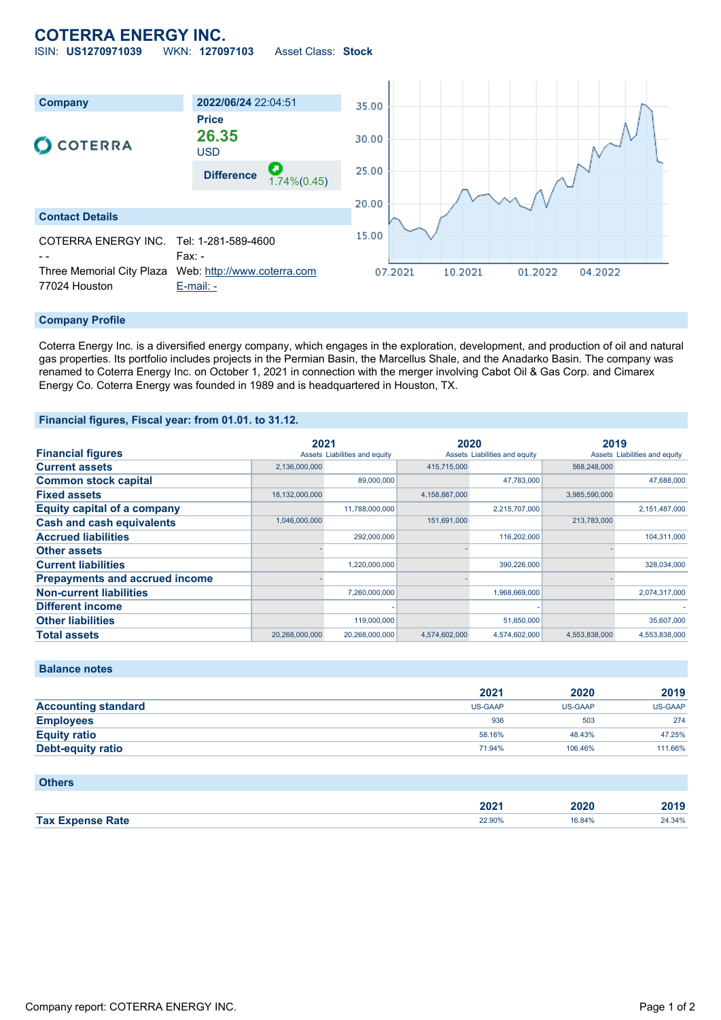# **COTERRA ENERGY INC.**

ISIN: **US1270971039** WKN: **127097103** Asset Class: **Stock**



### **Company Profile**

Coterra Energy Inc. is a diversified energy company, which engages in the exploration, development, and production of oil and natural gas properties. Its portfolio includes projects in the Permian Basin, the Marcellus Shale, and the Anadarko Basin. The company was renamed to Coterra Energy Inc. on October 1, 2021 in connection with the merger involving Cabot Oil & Gas Corp. and Cimarex Energy Co. Coterra Energy was founded in 1989 and is headquartered in Houston, TX.

#### **Financial figures, Fiscal year: from 01.01. to 31.12.**

|                                       | 2021           |                               | 2020          |                               | 2019          |                               |
|---------------------------------------|----------------|-------------------------------|---------------|-------------------------------|---------------|-------------------------------|
| <b>Financial figures</b>              |                | Assets Liabilities and equity |               | Assets Liabilities and equity |               | Assets Liabilities and equity |
| <b>Current assets</b>                 | 2,136,000,000  |                               | 415,715,000   |                               | 568,248,000   |                               |
| <b>Common stock capital</b>           |                | 89,000,000                    |               | 47.783.000                    |               | 47.688.000                    |
| <b>Fixed assets</b>                   | 18,132,000,000 |                               | 4,158,887,000 |                               | 3,985,590,000 |                               |
| <b>Equity capital of a company</b>    |                | 11,788,000,000                |               | 2,215,707,000                 |               | 2,151,487,000                 |
| <b>Cash and cash equivalents</b>      | 1,046,000,000  |                               | 151,691,000   |                               | 213,783,000   |                               |
| <b>Accrued liabilities</b>            |                | 292,000,000                   |               | 116,202,000                   |               | 104,311,000                   |
| <b>Other assets</b>                   |                |                               |               |                               |               |                               |
| <b>Current liabilities</b>            |                | 1,220,000,000                 |               | 390,226,000                   |               | 328,034,000                   |
| <b>Prepayments and accrued income</b> |                |                               |               |                               |               |                               |
| <b>Non-current liabilities</b>        |                | 7,260,000,000                 |               | 1,968,669,000                 |               | 2,074,317,000                 |
| <b>Different income</b>               |                |                               |               |                               |               |                               |
| <b>Other liabilities</b>              |                | 119,000,000                   |               | 51,650,000                    |               | 35,607,000                    |
| <b>Total assets</b>                   | 20,268,000,000 | 20.268.000.000                | 4.574.602.000 | 4.574.602.000                 | 4.553.838.000 | 4,553,838,000                 |

**Balance notes**

**Others**

|                            | 2021    | 2020           | 2019    |
|----------------------------|---------|----------------|---------|
| <b>Accounting standard</b> | US-GAAP | <b>US-GAAP</b> | US-GAAP |
| <b>Employees</b>           | 936     | 503            | 274     |
| <b>Equity ratio</b>        | 58.16%  | 48.43%         | 47.25%  |
| <b>Debt-equity ratio</b>   | 71.94%  | 106.46%        | 111.66% |

| <b>PUILTS</b>           |        |        |        |
|-------------------------|--------|--------|--------|
|                         |        |        |        |
|                         | 2021   | 2020   | 2019   |
| <b>Tax Expense Rate</b> | 22.90% | 16.84% | 24.34% |